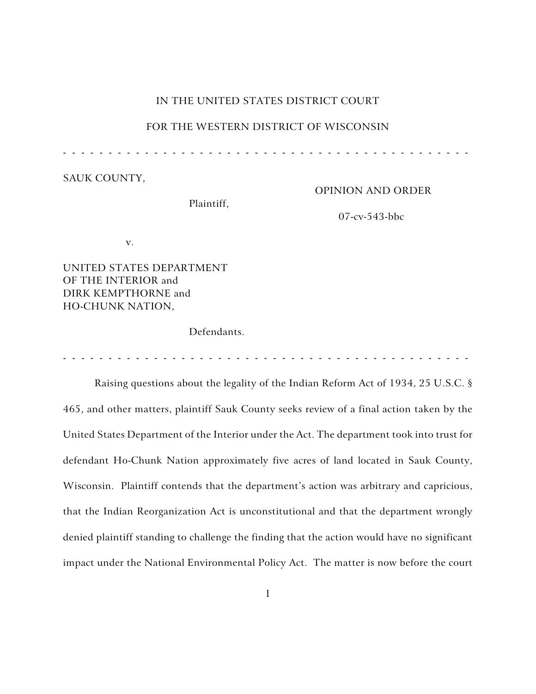# IN THE UNITED STATES DISTRICT COURT

## FOR THE WESTERN DISTRICT OF WISCONSIN

- - - - - - - - - - - - - - - - - - - - - - - - - - - - - - - - - - - - - - - - - - - - -

SAUK COUNTY,

OPINION AND ORDER

Plaintiff,

07-cv-543-bbc

v.

UNITED STATES DEPARTMENT OF THE INTERIOR and DIRK KEMPTHORNE and HO-CHUNK NATION,

Defendants.

- - - - - - - - - - - - - - - - - - - - - - - - - - - - - - - - - - - - - - - - - - - - -

Raising questions about the legality of the Indian Reform Act of 1934, 25 U.S.C. § 465, and other matters, plaintiff Sauk County seeks review of a final action taken by the United States Department of the Interior under the Act. The department took into trust for defendant Ho-Chunk Nation approximately five acres of land located in Sauk County, Wisconsin. Plaintiff contends that the department's action was arbitrary and capricious, that the Indian Reorganization Act is unconstitutional and that the department wrongly denied plaintiff standing to challenge the finding that the action would have no significant impact under the National Environmental Policy Act. The matter is now before the court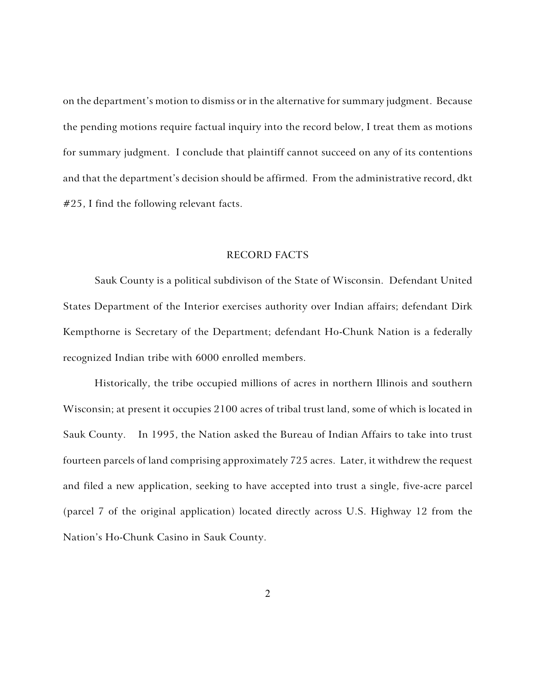on the department's motion to dismiss or in the alternative for summary judgment. Because the pending motions require factual inquiry into the record below, I treat them as motions for summary judgment. I conclude that plaintiff cannot succeed on any of its contentions and that the department's decision should be affirmed. From the administrative record, dkt #25, I find the following relevant facts.

## RECORD FACTS

Sauk County is a political subdivison of the State of Wisconsin. Defendant United States Department of the Interior exercises authority over Indian affairs; defendant Dirk Kempthorne is Secretary of the Department; defendant Ho-Chunk Nation is a federally recognized Indian tribe with 6000 enrolled members.

Historically, the tribe occupied millions of acres in northern Illinois and southern Wisconsin; at present it occupies 2100 acres of tribal trust land, some of which is located in Sauk County. In 1995, the Nation asked the Bureau of Indian Affairs to take into trust fourteen parcels of land comprising approximately 725 acres. Later, it withdrew the request and filed a new application, seeking to have accepted into trust a single, five-acre parcel (parcel 7 of the original application) located directly across U.S. Highway 12 from the Nation's Ho-Chunk Casino in Sauk County.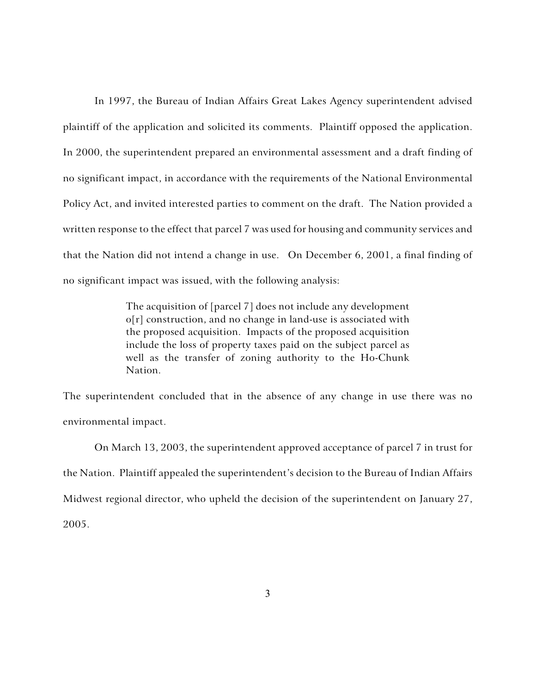In 1997, the Bureau of Indian Affairs Great Lakes Agency superintendent advised plaintiff of the application and solicited its comments. Plaintiff opposed the application. In 2000, the superintendent prepared an environmental assessment and a draft finding of no significant impact, in accordance with the requirements of the National Environmental Policy Act, and invited interested parties to comment on the draft. The Nation provided a written response to the effect that parcel 7 was used for housing and community services and that the Nation did not intend a change in use. On December 6, 2001, a final finding of no significant impact was issued, with the following analysis:

> The acquisition of [parcel 7] does not include any development o[r] construction, and no change in land-use is associated with the proposed acquisition. Impacts of the proposed acquisition include the loss of property taxes paid on the subject parcel as well as the transfer of zoning authority to the Ho-Chunk Nation.

The superintendent concluded that in the absence of any change in use there was no environmental impact.

On March 13, 2003, the superintendent approved acceptance of parcel 7 in trust for the Nation. Plaintiff appealed the superintendent's decision to the Bureau of Indian Affairs Midwest regional director, who upheld the decision of the superintendent on January 27, 2005.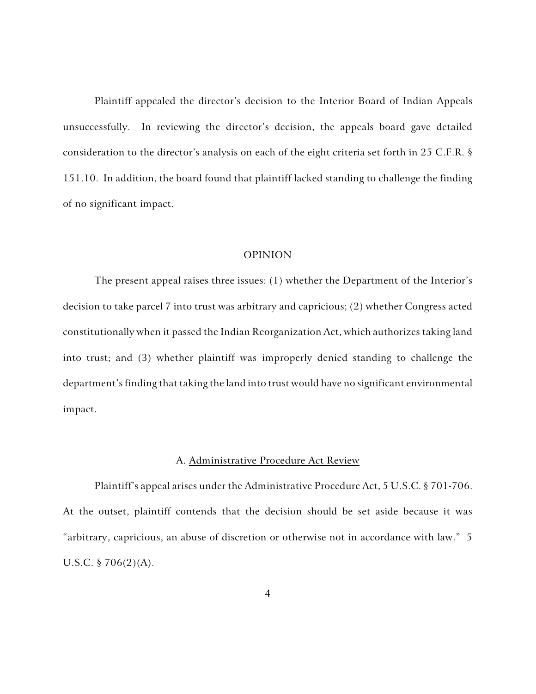Plaintiff appealed the director's decision to the Interior Board of Indian Appeals unsuccessfully. In reviewing the director's decision, the appeals board gave detailed consideration to the director's analysis on each of the eight criteria set forth in 25 C.F.R. § 151.10. In addition, the board found that plaintiff lacked standing to challenge the finding of no significant impact.

## OPINION

The present appeal raises three issues: (1) whether the Department of the Interior's decision to take parcel 7 into trust was arbitrary and capricious; (2) whether Congress acted constitutionally when it passed the Indian Reorganization Act, which authorizes taking land into trust; and (3) whether plaintiff was improperly denied standing to challenge the department's finding that taking the land into trust would have no significant environmental impact.

### A. Administrative Procedure Act Review

Plaintiff's appeal arises under the Administrative Procedure Act, 5 U.S.C. § 701-706. At the outset, plaintiff contends that the decision should be set aside because it was "arbitrary, capricious, an abuse of discretion or otherwise not in accordance with law." 5 U.S.C. § 706(2)(A).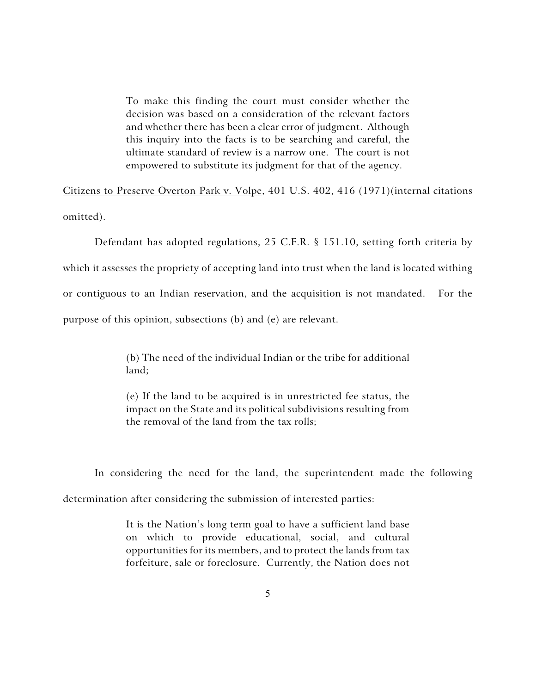To make this finding the court must consider whether the decision was based on a consideration of the relevant factors and whether there has been a clear error of judgment. Although this inquiry into the facts is to be searching and careful, the ultimate standard of review is a narrow one. The court is not empowered to substitute its judgment for that of the agency.

Citizens to Preserve Overton Park v. Volpe, 401 U.S. 402, 416 (1971)(internal citations omitted).

Defendant has adopted regulations, 25 C.F.R. § 151.10, setting forth criteria by which it assesses the propriety of accepting land into trust when the land is located withing or contiguous to an Indian reservation, and the acquisition is not mandated. For the purpose of this opinion, subsections (b) and (e) are relevant.

> (b) The need of the individual Indian or the tribe for additional land;

> (e) If the land to be acquired is in unrestricted fee status, the impact on the State and its political subdivisions resulting from the removal of the land from the tax rolls;

In considering the need for the land, the superintendent made the following determination after considering the submission of interested parties:

> It is the Nation's long term goal to have a sufficient land base on which to provide educational, social, and cultural opportunities for its members, and to protect the lands from tax forfeiture, sale or foreclosure. Currently, the Nation does not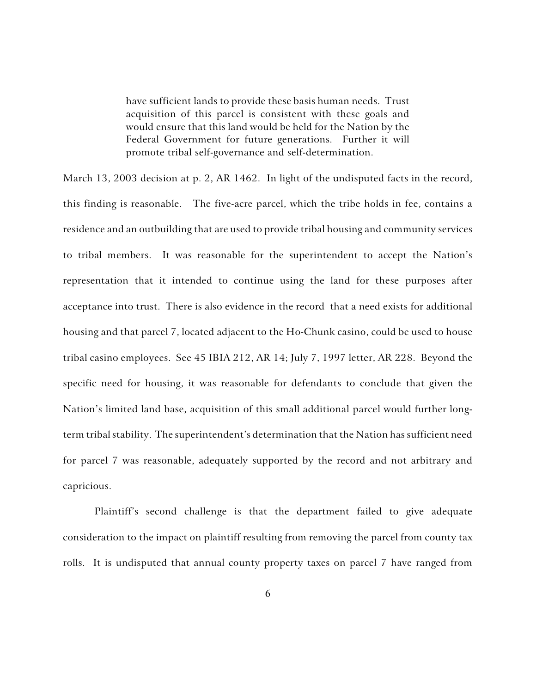have sufficient lands to provide these basis human needs. Trust acquisition of this parcel is consistent with these goals and would ensure that this land would be held for the Nation by the Federal Government for future generations. Further it will promote tribal self-governance and self-determination.

March 13, 2003 decision at p. 2, AR 1462. In light of the undisputed facts in the record, this finding is reasonable. The five-acre parcel, which the tribe holds in fee, contains a residence and an outbuilding that are used to provide tribal housing and community services to tribal members. It was reasonable for the superintendent to accept the Nation's representation that it intended to continue using the land for these purposes after acceptance into trust. There is also evidence in the record that a need exists for additional housing and that parcel 7, located adjacent to the Ho-Chunk casino, could be used to house tribal casino employees. See 45 IBIA 212, AR 14; July 7, 1997 letter, AR 228. Beyond the specific need for housing, it was reasonable for defendants to conclude that given the Nation's limited land base, acquisition of this small additional parcel would further longterm tribal stability. The superintendent's determination that the Nation has sufficient need for parcel 7 was reasonable, adequately supported by the record and not arbitrary and capricious.

Plaintiff's second challenge is that the department failed to give adequate consideration to the impact on plaintiff resulting from removing the parcel from county tax rolls. It is undisputed that annual county property taxes on parcel 7 have ranged from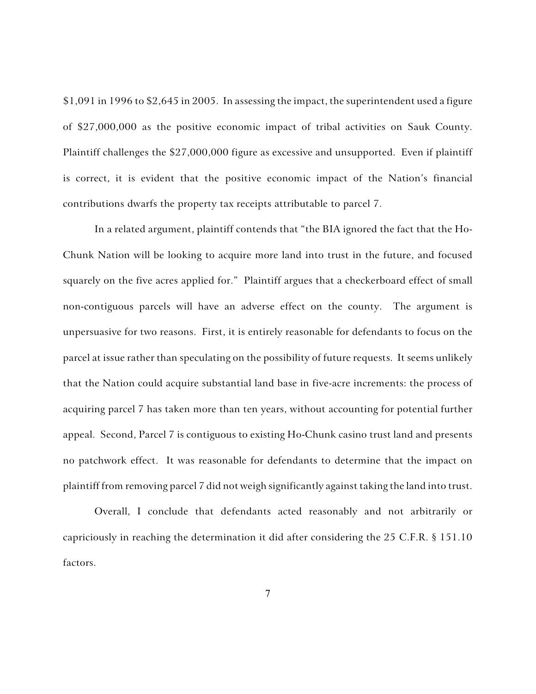\$1,091 in 1996 to \$2,645 in 2005. In assessing the impact, the superintendent used a figure of \$27,000,000 as the positive economic impact of tribal activities on Sauk County. Plaintiff challenges the \$27,000,000 figure as excessive and unsupported. Even if plaintiff is correct, it is evident that the positive economic impact of the Nation's financial contributions dwarfs the property tax receipts attributable to parcel 7.

In a related argument, plaintiff contends that "the BIA ignored the fact that the Ho-Chunk Nation will be looking to acquire more land into trust in the future, and focused squarely on the five acres applied for." Plaintiff argues that a checkerboard effect of small non-contiguous parcels will have an adverse effect on the county. The argument is unpersuasive for two reasons. First, it is entirely reasonable for defendants to focus on the parcel at issue rather than speculating on the possibility of future requests. It seems unlikely that the Nation could acquire substantial land base in five-acre increments: the process of acquiring parcel 7 has taken more than ten years, without accounting for potential further appeal. Second, Parcel 7 is contiguous to existing Ho-Chunk casino trust land and presents no patchwork effect. It was reasonable for defendants to determine that the impact on plaintiff from removing parcel 7 did not weigh significantly against taking the land into trust.

Overall, I conclude that defendants acted reasonably and not arbitrarily or capriciously in reaching the determination it did after considering the 25 C.F.R. § 151.10 factors.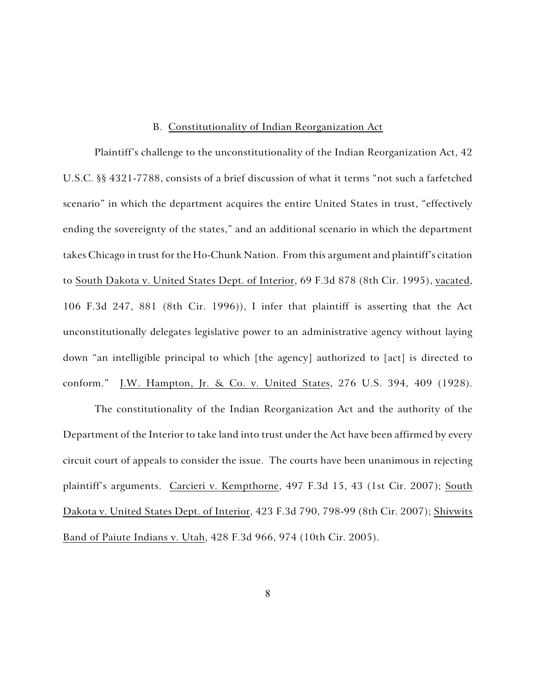## B. Constitutionality of Indian Reorganization Act

Plaintiff's challenge to the unconstitutionality of the Indian Reorganization Act, 42 U.S.C. §§ 4321-7788, consists of a brief discussion of what it terms "not such a farfetched scenario" in which the department acquires the entire United States in trust, "effectively ending the sovereignty of the states," and an additional scenario in which the department takes Chicago in trust for the Ho-Chunk Nation. From this argument and plaintiff's citation to South Dakota v. United States Dept. of Interior, 69 F.3d 878 (8th Cir. 1995), vacated, 106 F.3d 247, 881 (8th Cir. 1996)), I infer that plaintiff is asserting that the Act unconstitutionally delegates legislative power to an administrative agency without laying down "an intelligible principal to which [the agency] authorized to [act] is directed to conform." J.W. Hampton, Jr. & Co. v. United States, 276 U.S. 394, 409 (1928).

The constitutionality of the Indian Reorganization Act and the authority of the Department of the Interior to take land into trust under the Act have been affirmed by every circuit court of appeals to consider the issue. The courts have been unanimous in rejecting plaintiff's arguments. Carcieri v. Kempthorne, 497 F.3d 15, 43 (1st Cir. 2007); South Dakota v. United States Dept. of Interior, 423 F.3d 790, 798-99 (8th Cir. 2007); Shivwits Band of Paiute Indians v. Utah, 428 F.3d 966, 974 (10th Cir. 2005).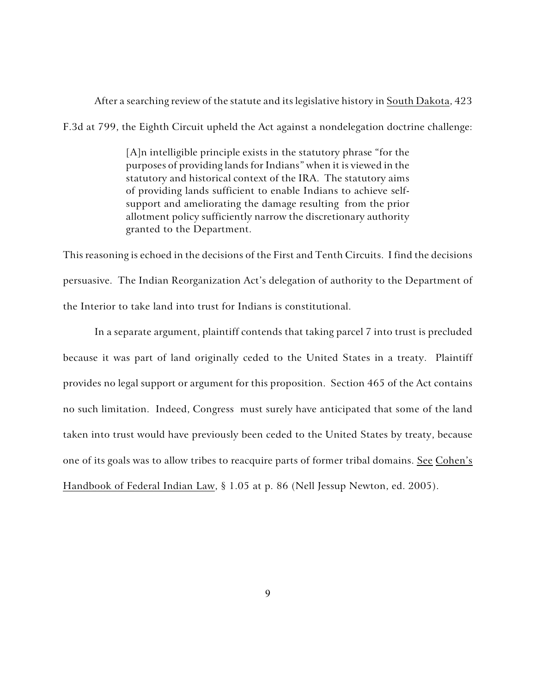After a searching review of the statute and its legislative history in South Dakota, 423

F.3d at 799, the Eighth Circuit upheld the Act against a nondelegation doctrine challenge:

[A]n intelligible principle exists in the statutory phrase "for the purposes of providing lands for Indians" when it is viewed in the statutory and historical context of the IRA. The statutory aims of providing lands sufficient to enable Indians to achieve selfsupport and ameliorating the damage resulting from the prior allotment policy sufficiently narrow the discretionary authority granted to the Department.

This reasoning is echoed in the decisions of the First and Tenth Circuits. I find the decisions persuasive. The Indian Reorganization Act's delegation of authority to the Department of the Interior to take land into trust for Indians is constitutional.

In a separate argument, plaintiff contends that taking parcel 7 into trust is precluded because it was part of land originally ceded to the United States in a treaty. Plaintiff provides no legal support or argument for this proposition. Section 465 of the Act contains no such limitation. Indeed, Congress must surely have anticipated that some of the land taken into trust would have previously been ceded to the United States by treaty, because one of its goals was to allow tribes to reacquire parts of former tribal domains. See Cohen's Handbook of Federal Indian Law, § 1.05 at p. 86 (Nell Jessup Newton, ed. 2005).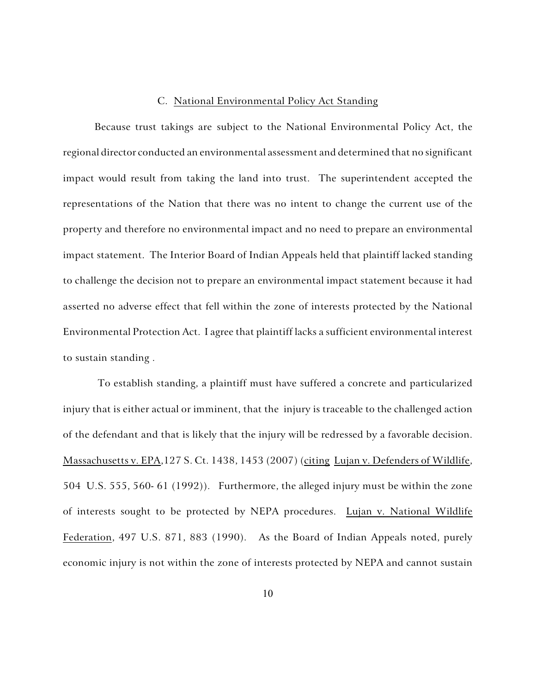#### C. National Environmental Policy Act Standing

Because trust takings are subject to the National Environmental Policy Act, the regional director conducted an environmental assessment and determined that no significant impact would result from taking the land into trust. The superintendent accepted the representations of the Nation that there was no intent to change the current use of the property and therefore no environmental impact and no need to prepare an environmental impact statement. The Interior Board of Indian Appeals held that plaintiff lacked standing to challenge the decision not to prepare an environmental impact statement because it had asserted no adverse effect that fell within the zone of interests protected by the National Environmental Protection Act. I agree that plaintiff lacks a sufficient environmental interest to sustain standing .

 To establish standing, a plaintiff must have suffered a concrete and particularized injury that is either actual or imminent, that the injury is traceable to the challenged action of the defendant and that is likely that the injury will be redressed by a favorable decision. Massachusetts v. EPA,127 S. Ct. 1438, 1453 (2007) (citing Lujan v. Defenders of Wildlife, 504 U.S. 555, 560- 61 (1992)). Furthermore, the alleged injury must be within the zone of interests sought to be protected by NEPA procedures. Lujan v. National Wildlife Federation, 497 U.S. 871, 883 (1990). As the Board of Indian Appeals noted, purely economic injury is not within the zone of interests protected by NEPA and cannot sustain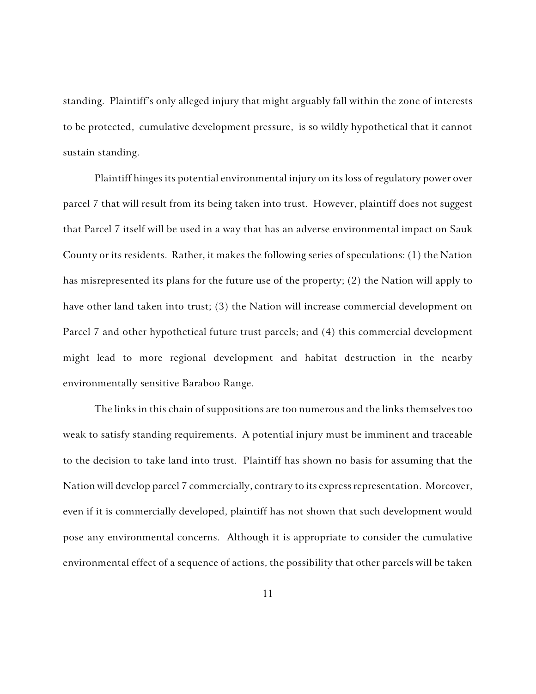standing. Plaintiff's only alleged injury that might arguably fall within the zone of interests to be protected, cumulative development pressure, is so wildly hypothetical that it cannot sustain standing.

Plaintiff hinges its potential environmental injury on its loss of regulatory power over parcel 7 that will result from its being taken into trust. However, plaintiff does not suggest that Parcel 7 itself will be used in a way that has an adverse environmental impact on Sauk County or its residents. Rather, it makes the following series of speculations: (1) the Nation has misrepresented its plans for the future use of the property; (2) the Nation will apply to have other land taken into trust; (3) the Nation will increase commercial development on Parcel 7 and other hypothetical future trust parcels; and (4) this commercial development might lead to more regional development and habitat destruction in the nearby environmentally sensitive Baraboo Range.

The links in this chain of suppositions are too numerous and the links themselves too weak to satisfy standing requirements. A potential injury must be imminent and traceable to the decision to take land into trust. Plaintiff has shown no basis for assuming that the Nation will develop parcel 7 commercially, contrary to its express representation. Moreover, even if it is commercially developed, plaintiff has not shown that such development would pose any environmental concerns. Although it is appropriate to consider the cumulative environmental effect of a sequence of actions, the possibility that other parcels will be taken